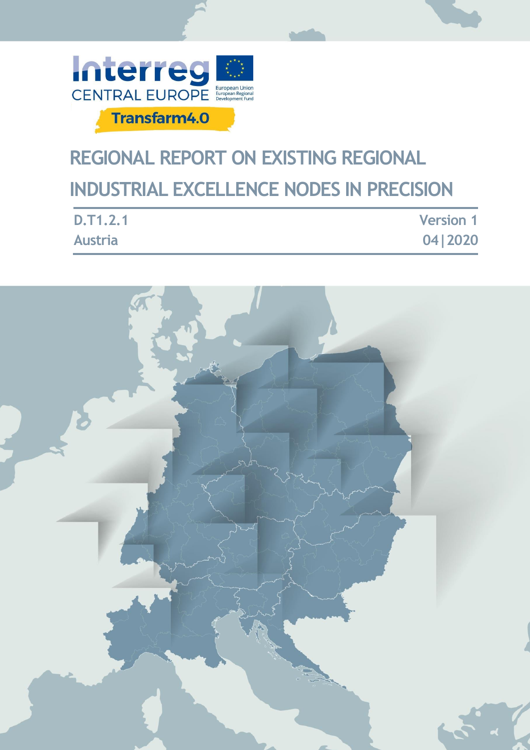

# **REGIONAL REPORT ON EXISTING REGIONAL INDUSTRIAL EXCELLENCE NODES IN PRECISION**

| <b>D.T1.2.1</b> | <b>Version 1</b> |
|-----------------|------------------|
| <b>Austria</b>  | 04 2020          |

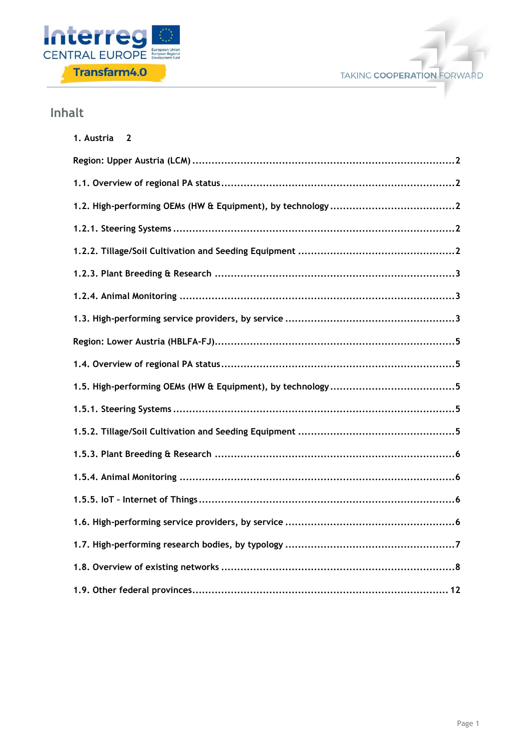



# **Inhalt**

| 1. Austria 2 |
|--------------|
|              |
|              |
|              |
|              |
|              |
|              |
|              |
|              |
|              |
|              |
|              |
|              |
|              |
|              |
|              |
|              |
|              |
|              |
|              |
|              |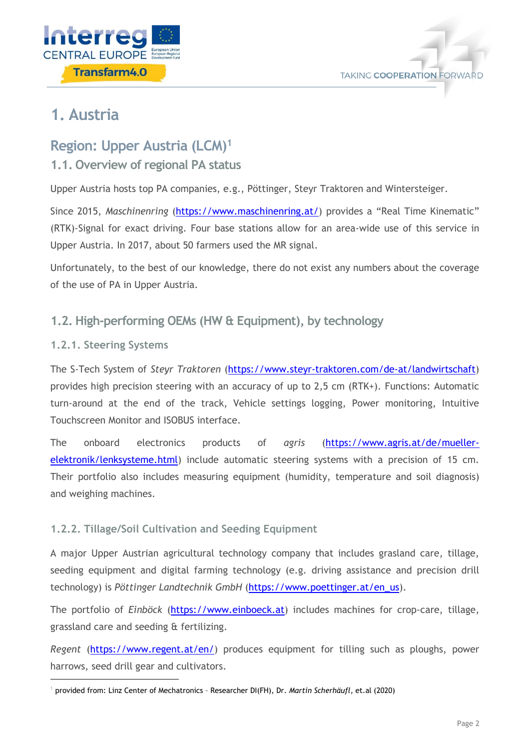



# <span id="page-2-0"></span>**1. Austria**

# <span id="page-2-1"></span>**Region: Upper Austria (LCM)<sup>1</sup>**

# <span id="page-2-2"></span>**1.1. Overview of regional PA status**

Upper Austria hosts top PA companies, e.g., Pöttinger, Steyr Traktoren and Wintersteiger.

Since 2015, *Maschinenring* [\(https://www.maschinenring.at/](https://www.maschinenring.at/)) provides a "Real Time Kinematic" (RTK)-Signal for exact driving. Four base stations allow for an area-wide use of this service in Upper Austria. In 2017, about 50 farmers used the MR signal.

Unfortunately, to the best of our knowledge, there do not exist any numbers about the coverage of the use of PA in Upper Austria.

# <span id="page-2-3"></span>**1.2. High-performing OEMs (HW & Equipment), by technology**

# <span id="page-2-4"></span>**1.2.1. Steering Systems**

1

The S-Tech System of *Steyr Traktoren* [\(https://www.steyr-traktoren.com/de-at/landwirtschaft\)](https://www.steyr-traktoren.com/de-at/landwirtschaft) provides high precision steering with an accuracy of up to 2,5 cm (RTK+). Functions: Automatic turn-around at the end of the track, Vehicle settings logging, Power monitoring, Intuitive Touchscreen Monitor and ISOBUS interface.

The onboard electronics products of *agris* [\(https://www.agris.at/de/mueller](https://www.agris.at/de/mueller-elektronik/lenksysteme.html)[elektronik/lenksysteme.html\)](https://www.agris.at/de/mueller-elektronik/lenksysteme.html) include automatic steering systems with a precision of 15 cm. Their portfolio also includes measuring equipment (humidity, temperature and soil diagnosis) and weighing machines.

# <span id="page-2-5"></span>**1.2.2. Tillage/Soil Cultivation and Seeding Equipment**

A major Upper Austrian agricultural technology company that includes grasland care, tillage, seeding equipment and digital farming technology (e.g. driving assistance and precision drill technology) is *Pöttinger Landtechnik GmbH* [\(https://www.poettinger.at/en\\_us\)](https://www.poettinger.at/en_us).

The portfolio of *Einböck* [\(https://www.einboeck.at\)](https://www.einboeck.at/) includes machines for crop-care, tillage, grassland care and seeding & fertilizing.

*Regent* [\(https://www.regent.at/en/\)](https://www.regent.at/en/) produces equipment for tilling such as ploughs, power harrows, seed drill gear and cultivators.

<sup>1</sup> provided from: Linz Center of Mechatronics – Researcher DI(FH), Dr. *Martin Scherhäufl*, et.al (2020)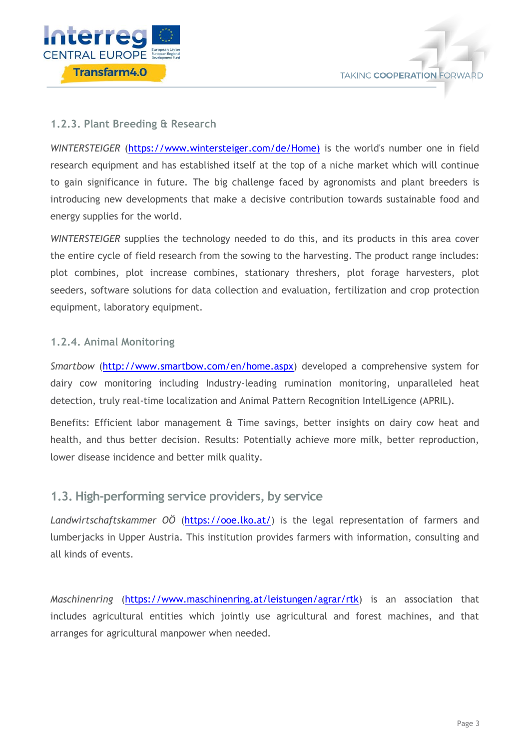

### <span id="page-3-0"></span>**1.2.3. Plant Breeding & Research**

*WINTERSTEIGER* [\(https://www.wintersteiger.com/de/Home\)](https://www.wintersteiger.com/de/Home) is the world's number one in field research equipment and has established itself at the top of a niche market which will continue to gain significance in future. The big challenge faced by agronomists and plant breeders is introducing new developments that make a decisive contribution towards sustainable food and energy supplies for the world.

*WINTERSTEIGER* supplies the technology needed to do this, and its products in this area cover the entire cycle of field research from the sowing to the harvesting. The product range includes: plot combines, plot increase combines, stationary threshers, plot forage harvesters, plot seeders, software solutions for data collection and evaluation, fertilization and crop protection equipment, laboratory equipment.

#### <span id="page-3-1"></span>**1.2.4. Animal Monitoring**

*Smartbow* [\(http://www.smartbow.com/en/home.aspx\)](http://www.smartbow.com/en/home.aspx) developed a comprehensive system for dairy cow monitoring including Industry-leading rumination monitoring, unparalleled heat detection, truly real-time localization and Animal Pattern Recognition IntelLigence (APRIL).

Benefits: Efficient labor management & Time savings, better insights on dairy cow heat and health, and thus better decision. Results: Potentially achieve more milk, better reproduction, lower disease incidence and better milk quality.

### <span id="page-3-2"></span>**1.3. High-performing service providers, by service**

Landwirtschaftskammer OÖ [\(https://ooe.lko.at/\)](https://ooe.lko.at/) is the legal representation of farmers and lumberjacks in Upper Austria. This institution provides farmers with information, consulting and all kinds of events.

*Maschinenring* [\(https://www.maschinenring.at/leistungen/agrar/rtk\)](https://www.maschinenring.at/leistungen/agrar/rtk) is an association that includes agricultural entities which jointly use agricultural and forest machines, and that arranges for agricultural manpower when needed.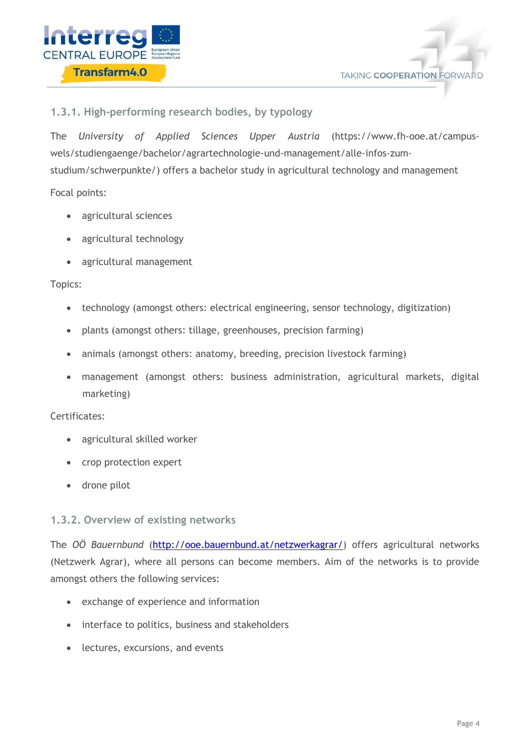



### **1.3.1. High-performing research bodies, by typology**

The *University of Applied Sciences Upper Austria* [\(https://www.fh-ooe.at/campus](https://www.fh-ooe.at/campus-wels/studiengaenge/bachelor/agrartechnologie-und-management/alle-infos-zum-studium/schwerpunkte/)[wels/studiengaenge/bachelor/agrartechnologie-und-management/alle-infos-zum](https://www.fh-ooe.at/campus-wels/studiengaenge/bachelor/agrartechnologie-und-management/alle-infos-zum-studium/schwerpunkte/)[studium/schwerpunkte/\)](https://www.fh-ooe.at/campus-wels/studiengaenge/bachelor/agrartechnologie-und-management/alle-infos-zum-studium/schwerpunkte/) offers a bachelor study in agricultural technology and management

Focal points:

- agricultural sciences
- agricultural technology
- agricultural management

#### Topics:

- technology (amongst others: electrical engineering, sensor technology, digitization)
- plants (amongst others: tillage, greenhouses, precision farming)
- animals (amongst others: anatomy, breeding, precision livestock farming)
- management (amongst others: business administration, agricultural markets, digital marketing)

#### Certificates:

- agricultural skilled worker
- crop protection expert
- drone pilot

### **1.3.2. Overview of existing networks**

The *OÖ Bauernbund* [\(http://ooe.bauernbund.at/netzwerkagrar/\)](http://ooe.bauernbund.at/netzwerkagrar/) offers agricultural networks (Netzwerk Agrar), where all persons can become members. Aim of the networks is to provide amongst others the following services:

- exchange of experience and information
- interface to politics, business and stakeholders
- lectures, excursions, and events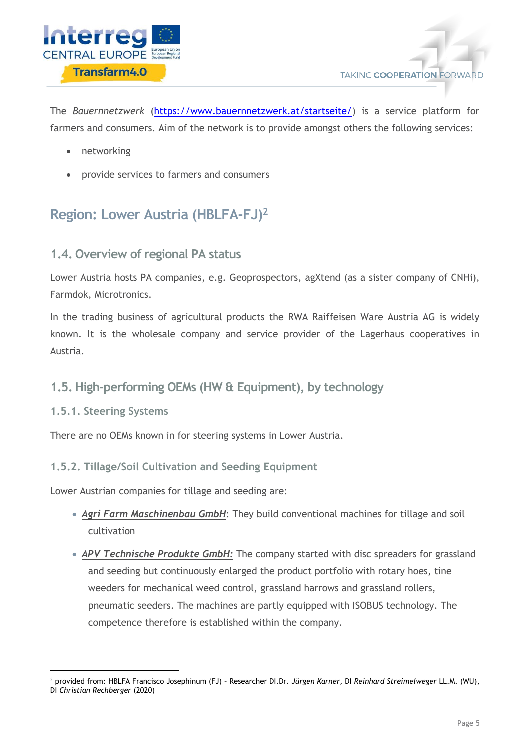

The *Bauernnetzwerk* [\(https://www.bauernnetzwerk.at/startseite/\)](https://www.bauernnetzwerk.at/startseite/) is a service platform for farmers and consumers. Aim of the network is to provide amongst others the following services:

- networking
- provide services to farmers and consumers

# <span id="page-5-0"></span>**Region: Lower Austria (HBLFA-FJ)<sup>2</sup>**

# <span id="page-5-1"></span>**1.4. Overview of regional PA status**

Lower Austria hosts PA companies, e.g. Geoprospectors, agXtend (as a sister company of CNHi), Farmdok, Microtronics.

In the trading business of agricultural products the RWA Raiffeisen Ware Austria AG is widely known. It is the wholesale company and service provider of the Lagerhaus cooperatives in Austria.

# <span id="page-5-2"></span>**1.5. High-performing OEMs (HW & Equipment), by technology**

### <span id="page-5-3"></span>**1.5.1. Steering Systems**

-

There are no OEMs known in for steering systems in Lower Austria.

### <span id="page-5-4"></span>**1.5.2. Tillage/Soil Cultivation and Seeding Equipment**

Lower Austrian companies for tillage and seeding are:

- *Agri Farm Maschinenbau GmbH*: They build conventional machines for tillage and soil cultivation
- *APV Technische Produkte GmbH:* The company started with disc spreaders for grassland and seeding but continuously enlarged the product portfolio with rotary hoes, tine weeders for mechanical weed control, grassland harrows and grassland rollers, pneumatic seeders. The machines are partly equipped with ISOBUS technology. The competence therefore is established within the company.

<sup>2</sup> provided from: HBLFA Francisco Josephinum (FJ) – Researcher DI.Dr. *Jürgen Karner,* DI *Reinhard Streimelweger* LL.M. (WU), DI *Christian Rechberger* (2020)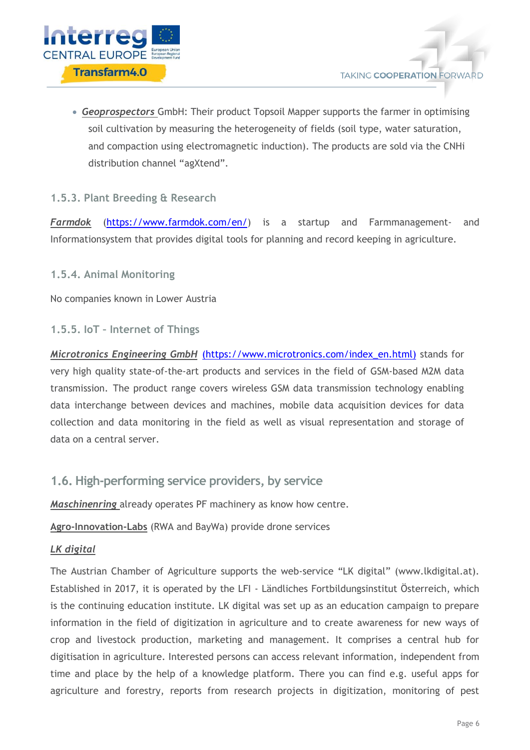

 *Geoprospectors* GmbH: Their product Topsoil Mapper supports the farmer in optimising soil cultivation by measuring the heterogeneity of fields (soil type, water saturation, and compaction using electromagnetic induction). The products are sold via the CNHi distribution channel "agXtend".

## <span id="page-6-0"></span>**1.5.3. Plant Breeding & Research**

*Farmdok* [\(https://www.farmdok.com/en/\)](https://www.farmdok.com/en/) is a startup and Farmmanagement- and Informationsystem that provides digital tools for planning and record keeping in agriculture.

<span id="page-6-1"></span>**1.5.4. Animal Monitoring**

No companies known in Lower Austria

### <span id="page-6-2"></span>**1.5.5. IoT – Internet of Things**

*Microtronics Engineering GmbH [\(https://www.microtronics.com/index\\_en.html\)](https://www.microtronics.com/index_en.html)* stands for very high quality state-of-the-art products and services in the field of GSM-based M2M data transmission. The product range covers wireless GSM data transmission technology enabling data interchange between devices and machines, mobile data acquisition devices for data collection and data monitoring in the field as well as visual representation and storage of data on a central server.

## <span id="page-6-3"></span>**1.6. High-performing service providers, by service**

*Maschinenring* already operates PF machinery as know how centre.

**Agro-Innovation-Labs** (RWA and BayWa) provide drone services

### *LK digital*

The Austrian Chamber of Agriculture supports the web-service "LK digital" (www.lkdigital.at). Established in 2017, it is operated by the LFI - Ländliches Fortbildungsinstitut Österreich, which is the continuing education institute. LK digital was set up as an education campaign to prepare information in the field of digitization in agriculture and to create awareness for new ways of crop and livestock production, marketing and management. It comprises a central hub for digitisation in agriculture. Interested persons can access relevant information, independent from time and place by the help of a knowledge platform. There you can find e.g. useful apps for agriculture and forestry, reports from research projects in digitization, monitoring of pest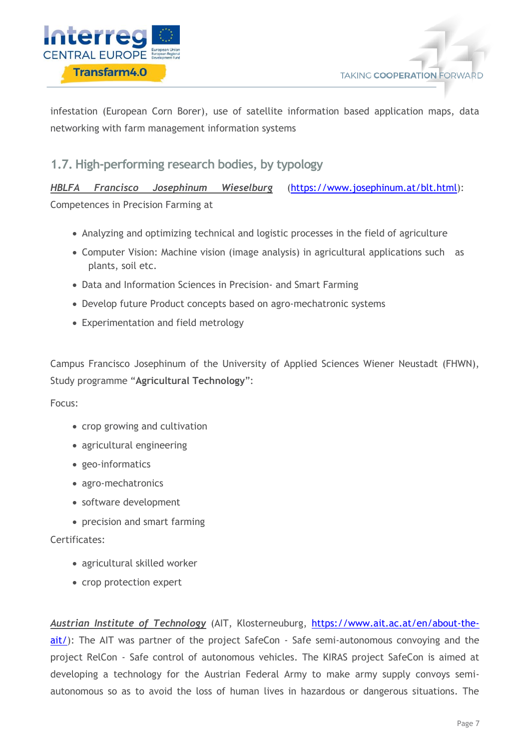



infestation (European Corn Borer), use of satellite information based application maps, data networking with farm management information systems

# <span id="page-7-0"></span>**1.7. High-performing research bodies, by typology**

*HBLFA Francisco Josephinum Wieselburg* [\(https://www.josephinum.at/blt.html\)](https://www.josephinum.at/blt.html): Competences in Precision Farming at

- Analyzing and optimizing technical and logistic processes in the field of agriculture
- Computer Vision: Machine vision (image analysis) in agricultural applications such as plants, soil etc.
- Data and Information Sciences in Precision- and Smart Farming
- Develop future Product concepts based on agro-mechatronic systems
- Experimentation and field metrology

Campus Francisco Josephinum of the University of Applied Sciences Wiener Neustadt (FHWN), Study programme "**Agricultural Technology**":

Focus:

- crop growing and cultivation
- agricultural engineering
- geo-informatics
- agro-mechatronics
- software development
- precision and smart farming

Certificates:

- agricultural skilled worker
- crop protection expert

*Austrian Institute of Technology* (AIT, Klosterneuburg, [https://www.ait.ac.at/en/about-the](https://www.ait.ac.at/en/about-the-ait/)[ait/\)](https://www.ait.ac.at/en/about-the-ait/): The AIT was partner of the project SafeCon - Safe semi-autonomous convoying and the project RelCon - Safe control of autonomous vehicles. The KIRAS project SafeCon is aimed at developing a technology for the Austrian Federal Army to make army supply convoys semiautonomous so as to avoid the loss of human lives in hazardous or dangerous situations. The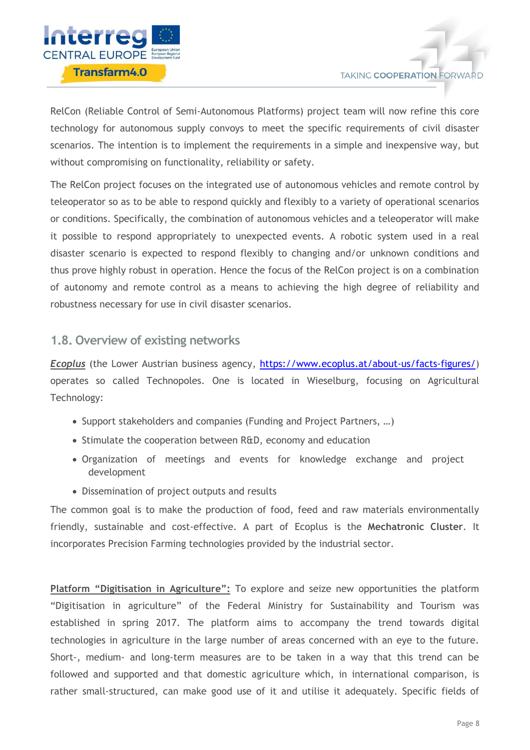

RelCon (Reliable Control of Semi-Autonomous Platforms) project team will now refine this core technology for autonomous supply convoys to meet the specific requirements of civil disaster scenarios. The intention is to implement the requirements in a simple and inexpensive way, but without compromising on functionality, reliability or safety.

The RelCon project focuses on the integrated use of autonomous vehicles and remote control by teleoperator so as to be able to respond quickly and flexibly to a variety of operational scenarios or conditions. Specifically, the combination of autonomous vehicles and a teleoperator will make it possible to respond appropriately to unexpected events. A robotic system used in a real disaster scenario is expected to respond flexibly to changing and/or unknown conditions and thus prove highly robust in operation. Hence the focus of the RelCon project is on a combination of autonomy and remote control as a means to achieving the high degree of reliability and robustness necessary for use in civil disaster scenarios.

# <span id="page-8-0"></span>**1.8. Overview of existing networks**

*Ecoplus* (the Lower Austrian business agency, [https://www.ecoplus.at/about-us/facts-figures/\)](https://www.ecoplus.at/about-us/facts-figures/) operates so called Technopoles. One is located in Wieselburg, focusing on Agricultural Technology:

- Support stakeholders and companies (Funding and Project Partners, ...)
- Stimulate the cooperation between R&D, economy and education
- Organization of meetings and events for knowledge exchange and project development
- Dissemination of project outputs and results

The common goal is to make the production of food, feed and raw materials environmentally friendly, sustainable and cost-effective. A part of Ecoplus is the **Mechatronic Cluster**. It incorporates Precision Farming technologies provided by the industrial sector.

**Platform "Digitisation in Agriculture":** To explore and seize new opportunities the platform "Digitisation in agriculture" of the Federal Ministry for Sustainability and Tourism was established in spring 2017. The platform aims to accompany the trend towards digital technologies in agriculture in the large number of areas concerned with an eye to the future. Short-, medium- and long-term measures are to be taken in a way that this trend can be followed and supported and that domestic agriculture which, in international comparison, is rather small-structured, can make good use of it and utilise it adequately. Specific fields of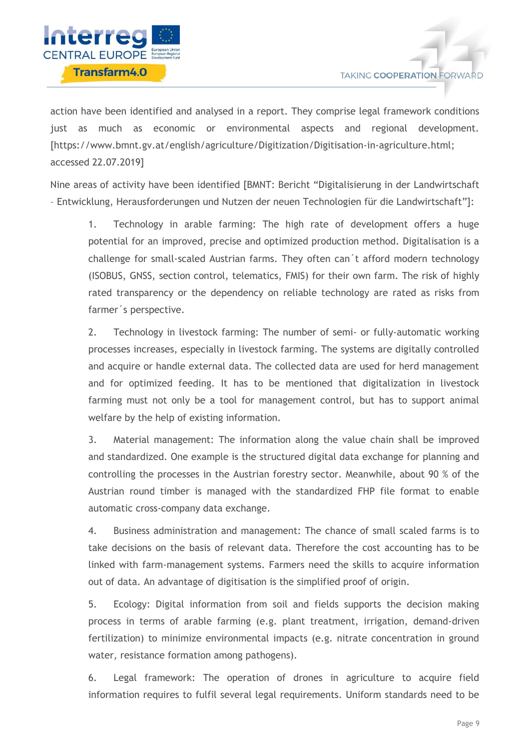

action have been identified and analysed in a report. They comprise legal framework conditions just as much as economic or environmental aspects and regional development. [https://www.bmnt.gv.at/english/agriculture/Digitization/Digitisation-in-agriculture.html; accessed 22.07.2019]

Nine areas of activity have been identified [BMNT: Bericht "Digitalisierung in der Landwirtschaft – Entwicklung, Herausforderungen und Nutzen der neuen Technologien für die Landwirtschaft"]:

1. Technology in arable farming: The high rate of development offers a huge potential for an improved, precise and optimized production method. Digitalisation is a challenge for small-scaled Austrian farms. They often can´t afford modern technology (ISOBUS, GNSS, section control, telematics, FMIS) for their own farm. The risk of highly rated transparency or the dependency on reliable technology are rated as risks from farmer´s perspective.

2. Technology in livestock farming: The number of semi- or fully-automatic working processes increases, especially in livestock farming. The systems are digitally controlled and acquire or handle external data. The collected data are used for herd management and for optimized feeding. It has to be mentioned that digitalization in livestock farming must not only be a tool for management control, but has to support animal welfare by the help of existing information.

3. Material management: The information along the value chain shall be improved and standardized. One example is the structured digital data exchange for planning and controlling the processes in the Austrian forestry sector. Meanwhile, about 90 % of the Austrian round timber is managed with the standardized FHP file format to enable automatic cross-company data exchange.

4. Business administration and management: The chance of small scaled farms is to take decisions on the basis of relevant data. Therefore the cost accounting has to be linked with farm-management systems. Farmers need the skills to acquire information out of data. An advantage of digitisation is the simplified proof of origin.

5. Ecology: Digital information from soil and fields supports the decision making process in terms of arable farming (e.g. plant treatment, irrigation, demand-driven fertilization) to minimize environmental impacts (e.g. nitrate concentration in ground water, resistance formation among pathogens).

6. Legal framework: The operation of drones in agriculture to acquire field information requires to fulfil several legal requirements. Uniform standards need to be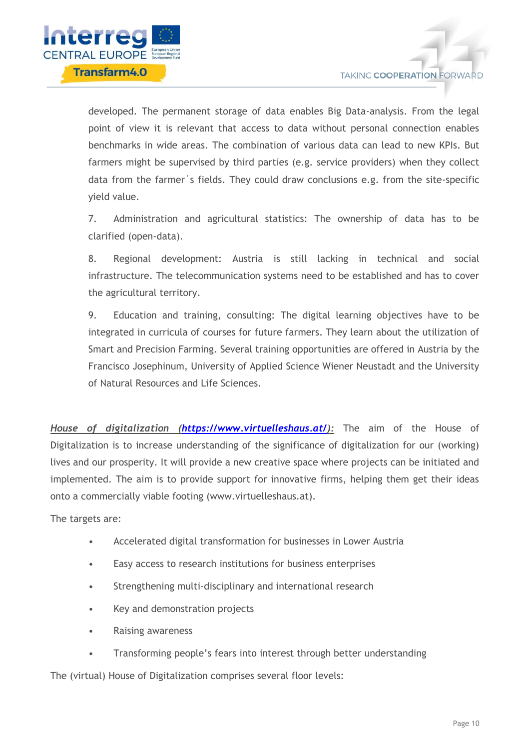

developed. The permanent storage of data enables Big Data-analysis. From the legal point of view it is relevant that access to data without personal connection enables benchmarks in wide areas. The combination of various data can lead to new KPIs. But farmers might be supervised by third parties (e.g. service providers) when they collect data from the farmer´s fields. They could draw conclusions e.g. from the site-specific yield value.

7. Administration and agricultural statistics: The ownership of data has to be clarified (open-data).

8. Regional development: Austria is still lacking in technical and social infrastructure. The telecommunication systems need to be established and has to cover the agricultural territory.

9. Education and training, consulting: The digital learning objectives have to be integrated in curricula of courses for future farmers. They learn about the utilization of Smart and Precision Farming. Several training opportunities are offered in Austria by the Francisco Josephinum, University of Applied Science Wiener Neustadt and the University of Natural Resources and Life Sciences.

*House of digitalization [\(https://www.virtuelleshaus.at/\)](https://www.virtuelleshaus.at/):* The aim of the House of Digitalization is to increase understanding of the significance of digitalization for our (working) lives and our prosperity. It will provide a new creative space where projects can be initiated and implemented. The aim is to provide support for innovative firms, helping them get their ideas onto a commercially viable footing (www.virtuelleshaus.at).

The targets are:

- Accelerated digital transformation for businesses in Lower Austria
- Easy access to research institutions for business enterprises
- Strengthening multi-disciplinary and international research
- Key and demonstration projects
- Raising awareness
- Transforming people's fears into interest through better understanding

The (virtual) House of Digitalization comprises several floor levels: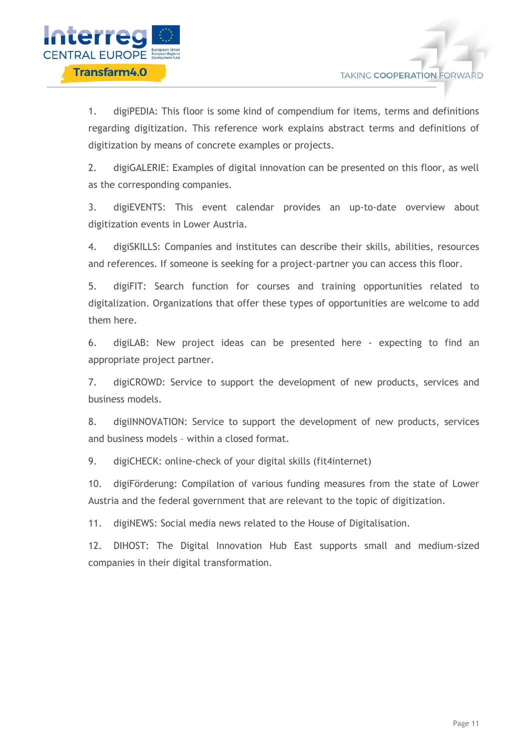

1. digiPEDIA: This floor is some kind of compendium for items, terms and definitions regarding digitization. This reference work explains abstract terms and definitions of digitization by means of concrete examples or projects.

2. digiGALERIE: Examples of digital innovation can be presented on this floor, as well as the corresponding companies.

3. digiEVENTS: This event calendar provides an up-to-date overview about digitization events in Lower Austria.

4. digiSKILLS: Companies and institutes can describe their skills, abilities, resources and references. If someone is seeking for a project-partner you can access this floor.

5. digiFIT: Search function for courses and training opportunities related to digitalization. Organizations that offer these types of opportunities are welcome to add them here.

6. digiLAB: New project ideas can be presented here - expecting to find an appropriate project partner.

7. digiCROWD: Service to support the development of new products, services and business models.

8. digiINNOVATION: Service to support the development of new products, services and business models – within a closed format.

9. digiCHECK: online-check of your digital skills (fit4internet)

10. digiFörderung: Compilation of various funding measures from the state of Lower Austria and the federal government that are relevant to the topic of digitization.

11. digiNEWS: Social media news related to the House of Digitalisation.

12. DIHOST: The Digital Innovation Hub East supports small and medium-sized companies in their digital transformation.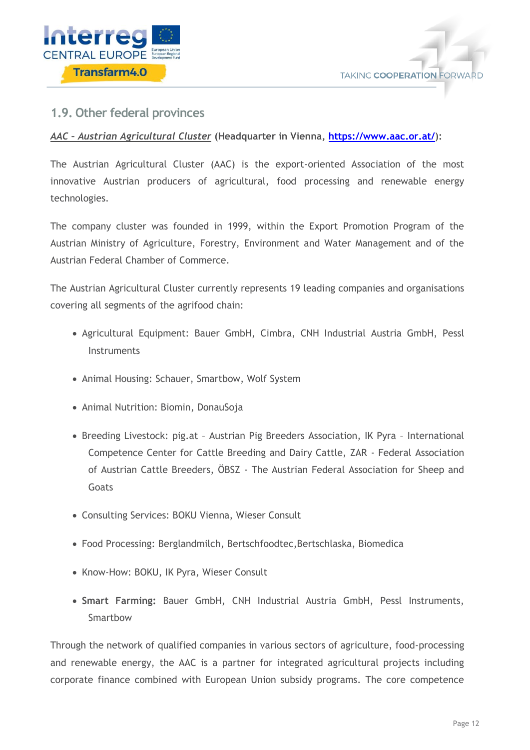



# <span id="page-12-0"></span>**1.9. Other federal provinces**

### *AAC – Austrian Agricultural Cluster* **(Headquarter in Vienna, [https://www.aac.or.at/\)](https://www.aac.or.at/):**

The Austrian Agricultural Cluster (AAC) is the export-oriented Association of the most innovative Austrian producers of agricultural, food processing and renewable energy technologies.

The company cluster was founded in 1999, within the Export Promotion Program of the Austrian Ministry of Agriculture, Forestry, Environment and Water Management and of the Austrian Federal Chamber of Commerce.

The Austrian Agricultural Cluster currently represents 19 leading companies and organisations covering all segments of the agrifood chain:

- Agricultural Equipment: Bauer GmbH, Cimbra, CNH Industrial Austria GmbH, Pessl **Instruments**
- Animal Housing: Schauer, Smartbow, Wolf System
- Animal Nutrition: Biomin, DonauSoja
- Breeding Livestock: pig.at Austrian Pig Breeders Association, IK Pyra International Competence Center for Cattle Breeding and Dairy Cattle, ZAR - Federal Association of Austrian Cattle Breeders, ÖBSZ - The Austrian Federal Association for Sheep and Goats
- Consulting Services: BOKU Vienna, Wieser Consult
- Food Processing: Berglandmilch, Bertschfoodtec,Bertschlaska, Biomedica
- Know-How: BOKU, IK Pyra, Wieser Consult
- **Smart Farming:** Bauer GmbH, CNH Industrial Austria GmbH, Pessl Instruments, Smartbow

Through the network of qualified companies in various sectors of agriculture, food-processing and renewable energy, the AAC is a partner for integrated agricultural projects including corporate finance combined with European Union subsidy programs. The core competence